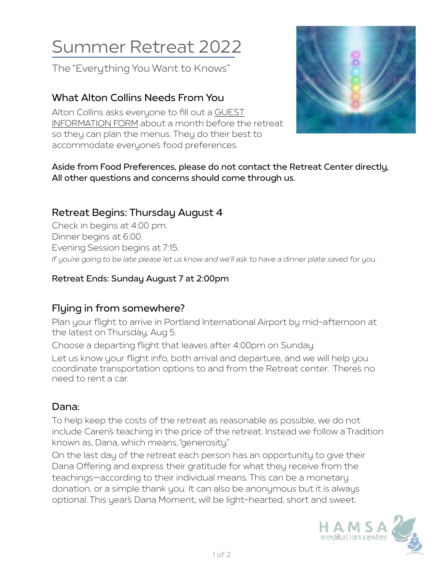# Summer Retreat 2022

The "Everything You Want to Knows"

# **What Alton Collins Needs From You**

Alton Collins asks everyone to fill out a [GUEST](https://umoi-reg.brtapp.com/CollinsInfoForm2020)  [INFORMATION FORM](https://umoi-reg.brtapp.com/CollinsInfoForm2020) about a month before the retreat so they can plan the menus. They do their best to accommodate everyone's food preferences.



#### **Aside from Food Preferences, please do not contact the Retreat Center directly, All other questions and concerns should come through us.**

# **Retreat Begins: Thursday August 4**

Check in begins at 4:00 pm. Dinner begins at 6:00. Evening Session begins at 7:15. *If you're going to be late please let us know and we'll ask to have a dinner plate saved for you.*

#### **Retreat Ends: Sunday August 7 at 2:00pm**

# **Flying in from somewhere?**

Plan your flight to arrive in Portland International Airport by mid-afternoon at the latest on Thursday, Aug 5.

Choose a departing flight that leaves after 4:00pm on Sunday.

Let us know your flight info, both arrival and departure, and we will help you coordinate transportation options to and from the Retreat center. There's no need to rent a car.

## **Dana:**

To help keep the costs of the retreat as reasonable as possible, we do not include Caren's teaching in the price of the retreat. Instead we follow a Tradition known as, Dana, which means, "generosity."

On the last day of the retreat each person has an opportunity to give their Dana Offering and express their gratitude for what they receive from the teachings—according to their individual means. This can be a monetary donation, or a simple thank you. It can also be anonymous but it is always optional. This year's Dana Moment, will be light-hearted, short and sweet.